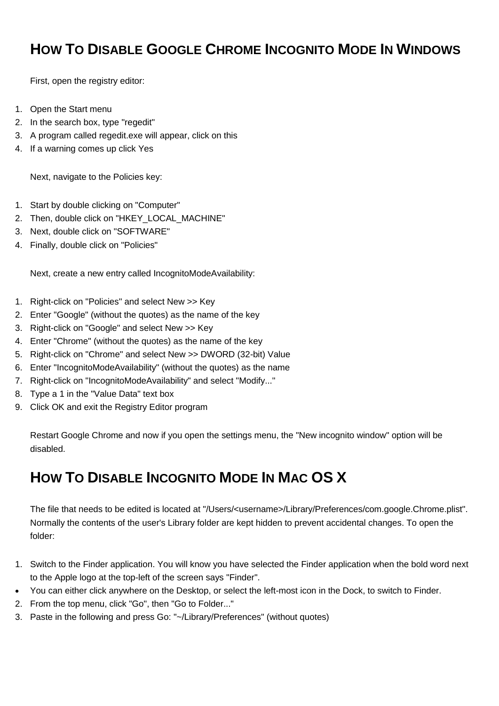## **HOW TO DISABLE GOOGLE CHROME INCOGNITO MODE IN WINDOWS**

First, open the registry editor:

- 1. Open the Start menu
- 2. In the search box, type "regedit"
- 3. A program called regedit.exe will appear, click on this
- 4. If a warning comes up click Yes

Next, navigate to the Policies key:

- 1. Start by double clicking on "Computer"
- 2. Then, double click on "HKEY\_LOCAL\_MACHINE"
- 3. Next, double click on "SOFTWARE"
- 4. Finally, double click on "Policies"

Next, create a new entry called IncognitoModeAvailability:

- 1. Right-click on "Policies" and select New >> Key
- 2. Enter "Google" (without the quotes) as the name of the key
- 3. Right-click on "Google" and select New >> Key
- 4. Enter "Chrome" (without the quotes) as the name of the key
- 5. Right-click on "Chrome" and select New >> DWORD (32-bit) Value
- 6. Enter "IncognitoModeAvailability" (without the quotes) as the name
- 7. Right-click on "IncognitoModeAvailability" and select "Modify..."
- 8. Type a 1 in the "Value Data" text box
- 9. Click OK and exit the Registry Editor program

Restart Google Chrome and now if you open the settings menu, the "New incognito window" option will be disabled.

## **HOW TO DISABLE INCOGNITO MODE IN MAC OS X**

The file that needs to be edited is located at "/Users/<username>/Library/Preferences/com.google.Chrome.plist". Normally the contents of the user's Library folder are kept hidden to prevent accidental changes. To open the folder:

- 1. Switch to the Finder application. You will know you have selected the Finder application when the bold word next to the Apple logo at the top-left of the screen says "Finder".
- You can either click anywhere on the Desktop, or select the left-most icon in the Dock, to switch to Finder.
- 2. From the top menu, click "Go", then "Go to Folder..."
- 3. Paste in the following and press Go: "~/Library/Preferences" (without quotes)